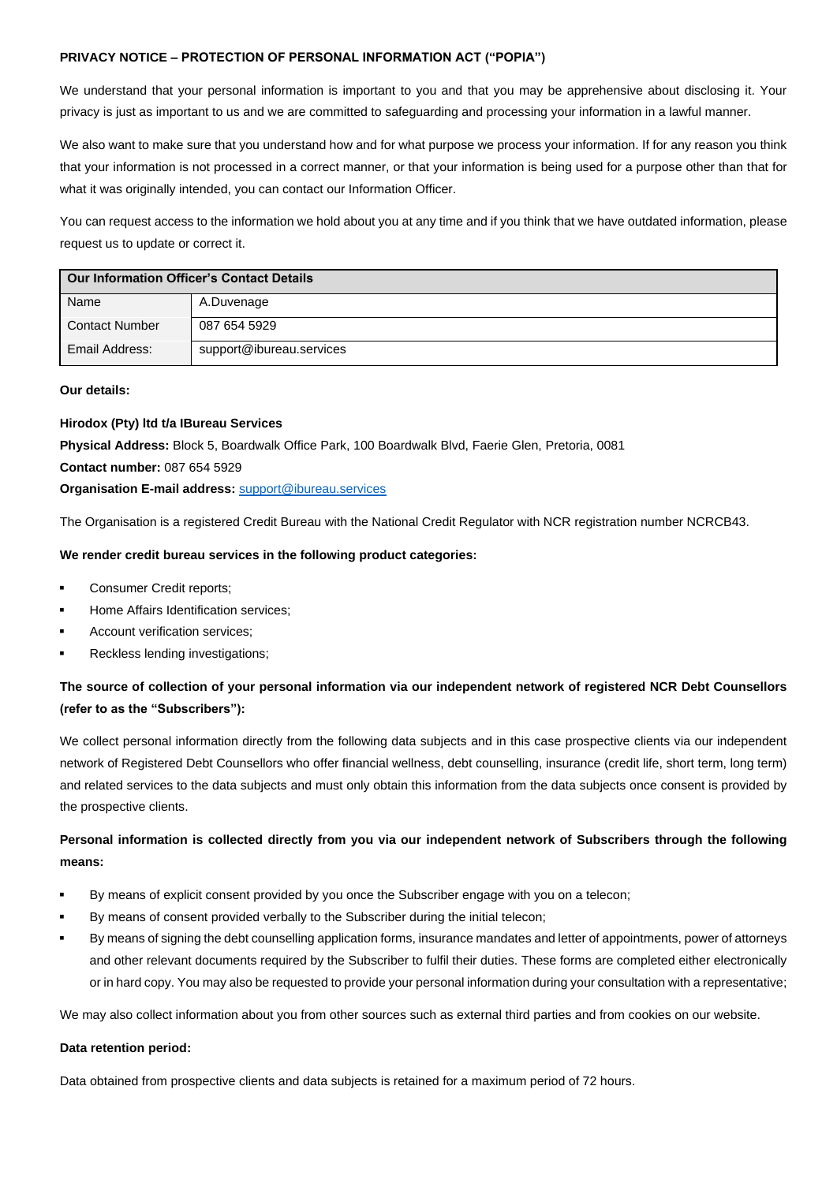#### **PRIVACY NOTICE – PROTECTION OF PERSONAL INFORMATION ACT ("POPIA")**

We understand that your personal information is important to you and that you may be apprehensive about disclosing it. Your privacy is just as important to us and we are committed to safeguarding and processing your information in a lawful manner.

We also want to make sure that you understand how and for what purpose we process your information. If for any reason you think that your information is not processed in a correct manner, or that your information is being used for a purpose other than that for what it was originally intended, you can contact our Information Officer.

You can request access to the information we hold about you at any time and if you think that we have outdated information, please request us to update or correct it.

| <b>Our Information Officer's Contact Details</b> |                          |  |
|--------------------------------------------------|--------------------------|--|
| Name                                             | A.Duvenage               |  |
| <b>Contact Number</b>                            | 087 654 5929             |  |
| Email Address:                                   | support@ibureau.services |  |

#### **Our details:**

#### **Hirodox (Pty) ltd t/a IBureau Services**

**Physical Address:** Block 5, Boardwalk Office Park, 100 Boardwalk Blvd, Faerie Glen, Pretoria, 0081

**Contact number:** 087 654 5929

**Organisation E-mail address:** [support@ibureau.services](mailto:support@ibureau.services)

The Organisation is a registered Credit Bureau with the National Credit Regulator with NCR registration number NCRCB43.

#### **We render credit bureau services in the following product categories:**

- Consumer Credit reports;
- Home Affairs Identification services:
- Account verification services:
- Reckless lending investigations;

## **The source of collection of your personal information via our independent network of registered NCR Debt Counsellors (refer to as the "Subscribers"):**

We collect personal information directly from the following data subjects and in this case prospective clients via our independent network of Registered Debt Counsellors who offer financial wellness, debt counselling, insurance (credit life, short term, long term) and related services to the data subjects and must only obtain this information from the data subjects once consent is provided by the prospective clients.

## **Personal information is collected directly from you via our independent network of Subscribers through the following means:**

- By means of explicit consent provided by you once the Subscriber engage with you on a telecon;
- By means of consent provided verbally to the Subscriber during the initial telecon;
- By means of signing the debt counselling application forms, insurance mandates and letter of appointments, power of attorneys and other relevant documents required by the Subscriber to fulfil their duties. These forms are completed either electronically or in hard copy. You may also be requested to provide your personal information during your consultation with a representative;

We may also collect information about you from other sources such as external third parties and from cookies on our website.

#### **Data retention period:**

Data obtained from prospective clients and data subjects is retained for a maximum period of 72 hours.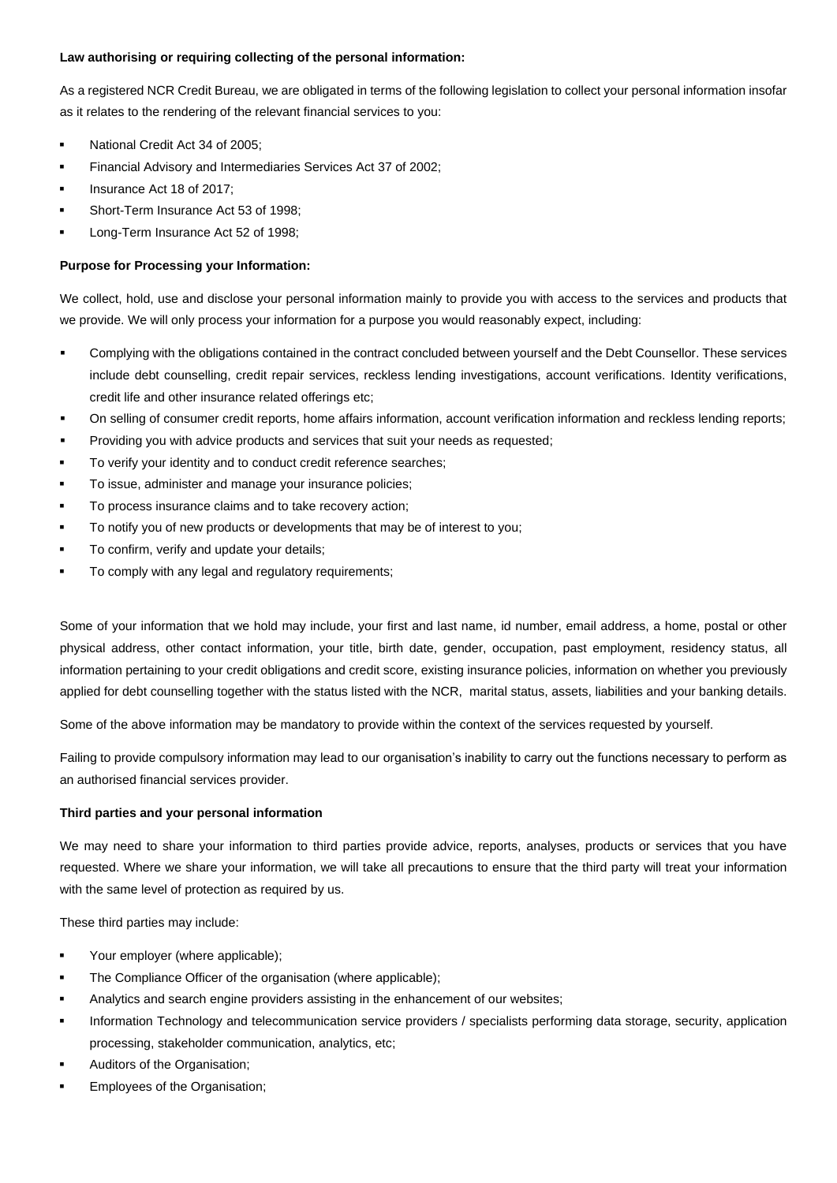#### **Law authorising or requiring collecting of the personal information:**

As a registered NCR Credit Bureau, we are obligated in terms of the following legislation to collect your personal information insofar as it relates to the rendering of the relevant financial services to you:

- National Credit Act 34 of 2005;
- Financial Advisory and Intermediaries Services Act 37 of 2002;
- Insurance Act 18 of 2017:
- Short-Term Insurance Act 53 of 1998;
- Long-Term Insurance Act 52 of 1998;

#### **Purpose for Processing your Information:**

We collect, hold, use and disclose your personal information mainly to provide you with access to the services and products that we provide. We will only process your information for a purpose you would reasonably expect, including:

- Complying with the obligations contained in the contract concluded between yourself and the Debt Counsellor. These services include debt counselling, credit repair services, reckless lending investigations, account verifications. Identity verifications, credit life and other insurance related offerings etc;
- On selling of consumer credit reports, home affairs information, account verification information and reckless lending reports;
- Providing you with advice products and services that suit your needs as requested;
- To verify your identity and to conduct credit reference searches;
- To issue, administer and manage your insurance policies;
- To process insurance claims and to take recovery action;
- To notify you of new products or developments that may be of interest to you;
- To confirm, verify and update your details;
- To comply with any legal and regulatory requirements;

Some of your information that we hold may include, your first and last name, id number, email address, a home, postal or other physical address, other contact information, your title, birth date, gender, occupation, past employment, residency status, all information pertaining to your credit obligations and credit score, existing insurance policies, information on whether you previously applied for debt counselling together with the status listed with the NCR, marital status, assets, liabilities and your banking details.

Some of the above information may be mandatory to provide within the context of the services requested by yourself.

Failing to provide compulsory information may lead to our organisation's inability to carry out the functions necessary to perform as an authorised financial services provider.

#### **Third parties and your personal information**

We may need to share your information to third parties provide advice, reports, analyses, products or services that you have requested. Where we share your information, we will take all precautions to ensure that the third party will treat your information with the same level of protection as required by us.

These third parties may include:

- Your employer (where applicable);
- The Compliance Officer of the organisation (where applicable);
- Analytics and search engine providers assisting in the enhancement of our websites;
- Information Technology and telecommunication service providers / specialists performing data storage, security, application processing, stakeholder communication, analytics, etc;
- Auditors of the Organisation;
- Employees of the Organisation;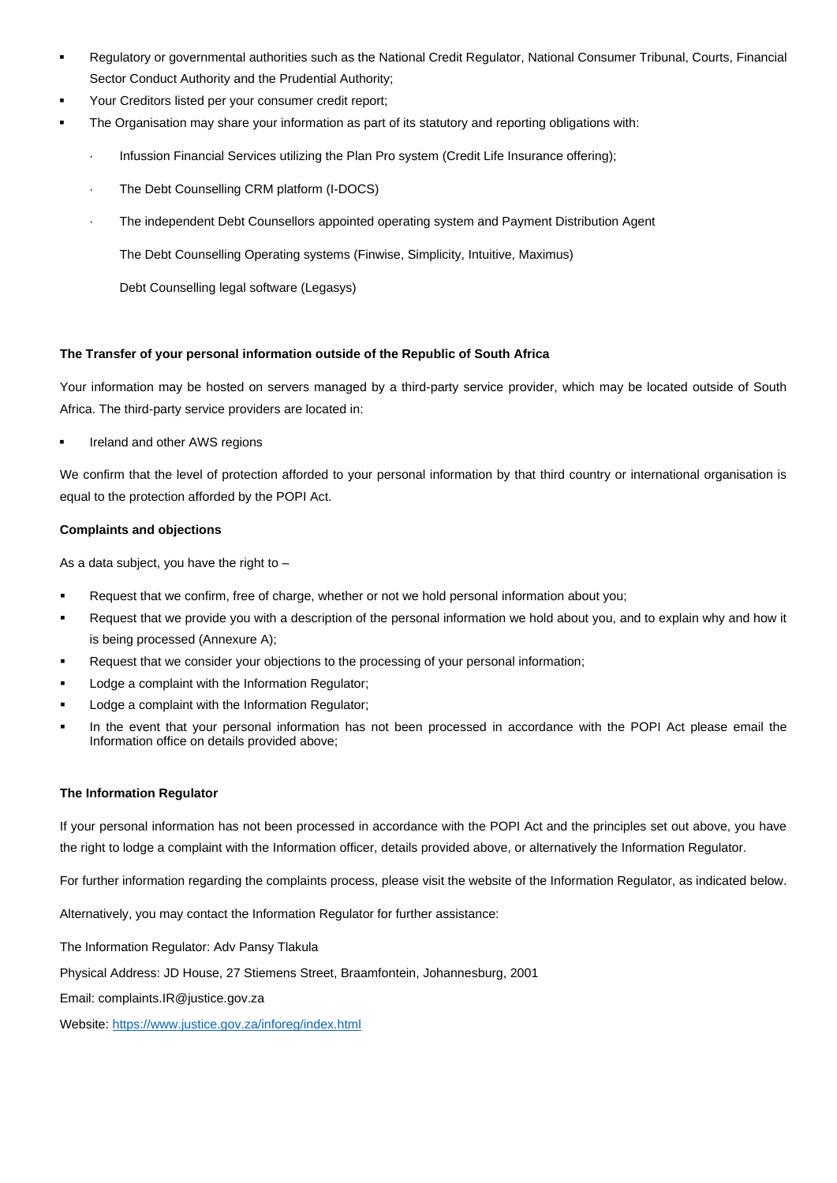- Regulatory or governmental authorities such as the National Credit Regulator, National Consumer Tribunal, Courts, Financial Sector Conduct Authority and the Prudential Authority;
- Your Creditors listed per your consumer credit report;
- The Organisation may share your information as part of its statutory and reporting obligations with:
	- Infussion Financial Services utilizing the Plan Pro system (Credit Life Insurance offering);
	- The Debt Counselling CRM platform (I-DOCS)
	- · The independent Debt Counsellors appointed operating system and Payment Distribution Agent

The Debt Counselling Operating systems (Finwise, Simplicity, Intuitive, Maximus)

Debt Counselling legal software (Legasys)

### **The Transfer of your personal information outside of the Republic of South Africa**

Your information may be hosted on servers managed by a third-party service provider, which may be located outside of South Africa. The third-party service providers are located in:

Ireland and other AWS regions

We confirm that the level of protection afforded to your personal information by that third country or international organisation is equal to the protection afforded by the POPI Act.

#### **Complaints and objections**

As a data subject, you have the right to –

- Request that we confirm, free of charge, whether or not we hold personal information about you;
- Request that we provide you with a description of the personal information we hold about you, and to explain why and how it is being processed (Annexure A);
- Request that we consider your objections to the processing of your personal information;
- Lodge a complaint with the Information Regulator;
- Lodge a complaint with the Information Regulator;
- In the event that your personal information has not been processed in accordance with the POPI Act please email the Information office on details provided above;

#### **The Information Regulator**

If your personal information has not been processed in accordance with the POPI Act and the principles set out above, you have the right to lodge a complaint with the Information officer, details provided above, or alternatively the Information Regulator.

For further information regarding the complaints process, please visit the website of the Information Regulator, as indicated below.

Alternatively, you may contact the Information Regulator for further assistance:

The Information Regulator: Adv Pansy Tlakula

Physical Address: JD House, 27 Stiemens Street, Braamfontein, Johannesburg, 2001

Email: complaints.IR@justice.gov.za

Website: [https://www.justice.gov.za/inforeg/index.html](about:blank)